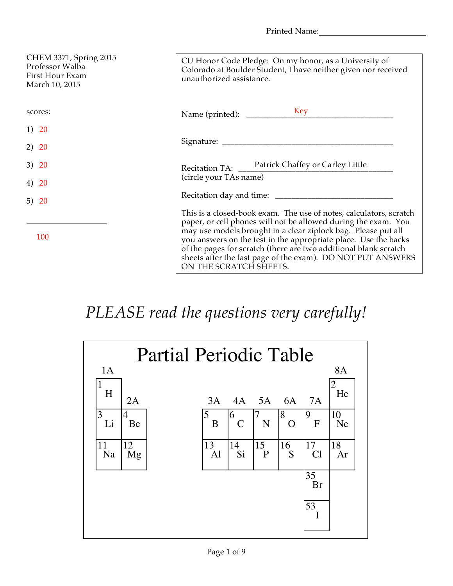Printed Name:

| CHEM 3371, Spring 2015<br>Professor Walba<br>First Hour Exam<br>March 10, 2015 | CU Honor Code Pledge: On my honor, as a University of<br>Colorado at Boulder Student, I have neither given nor received<br>unauthorized assistance.                                                                                                                                                                                                                                                                                   |
|--------------------------------------------------------------------------------|---------------------------------------------------------------------------------------------------------------------------------------------------------------------------------------------------------------------------------------------------------------------------------------------------------------------------------------------------------------------------------------------------------------------------------------|
| scores:                                                                        | Key<br>Name (printed): _____                                                                                                                                                                                                                                                                                                                                                                                                          |
| 1) 20                                                                          |                                                                                                                                                                                                                                                                                                                                                                                                                                       |
| 2) 20                                                                          |                                                                                                                                                                                                                                                                                                                                                                                                                                       |
| 3) 20                                                                          | Recitation TA: Patrick Chaffey or Carley Little                                                                                                                                                                                                                                                                                                                                                                                       |
| 4) 20                                                                          | (circle your TAs name)                                                                                                                                                                                                                                                                                                                                                                                                                |
| 5) $20$                                                                        |                                                                                                                                                                                                                                                                                                                                                                                                                                       |
| 100                                                                            | This is a closed-book exam. The use of notes, calculators, scratch<br>paper, or cell phones will not be allowed during the exam. You<br>may use models brought in a clear ziplock bag. Please put all<br>you answers on the test in the appropriate place. Use the backs<br>of the pages for scratch (there are two additional blank scratch<br>sheets after the last page of the exam). DO NOT PUT ANSWERS<br>ON THE SCRATCH SHEETS. |

## *PLEASE read the questions very carefully!*

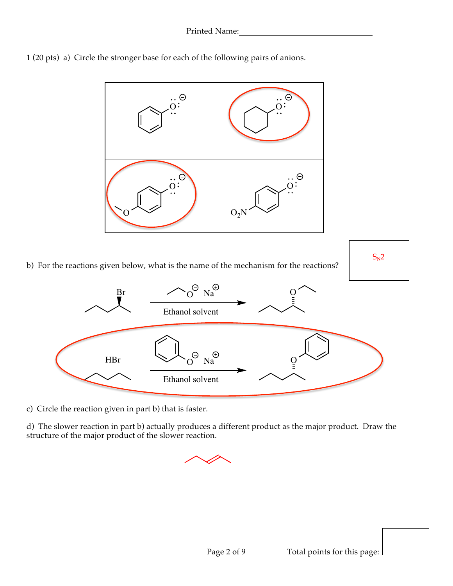



c) Circle the reaction given in part b) that is faster.

d) The slower reaction in part b) actually produces a different product as the major product. Draw the structure of the major product of the slower reaction.

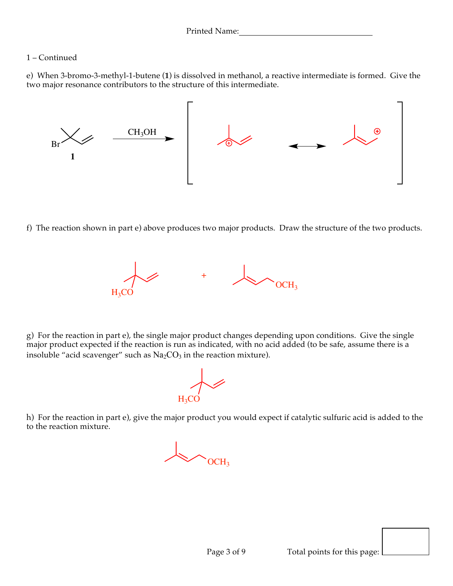## 1 – Continued

e) When 3-bromo-3-methyl-1-butene (**1**) is dissolved in methanol, a reactive intermediate is formed. Give the two major resonance contributors to the structure of this intermediate.



f) The reaction shown in part e) above produces two major products. Draw the structure of the two products.



g) For the reaction in part e), the single major product changes depending upon conditions. Give the single major product expected if the reaction is run as indicated, with no acid added (to be safe, assume there is a insoluble "acid scavenger" such as  $Na<sub>2</sub>CO<sub>3</sub>$  in the reaction mixture).

 $H_3CO$ 

h) For the reaction in part e), give the major product you would expect if catalytic sulfuric acid is added to the to the reaction mixture.

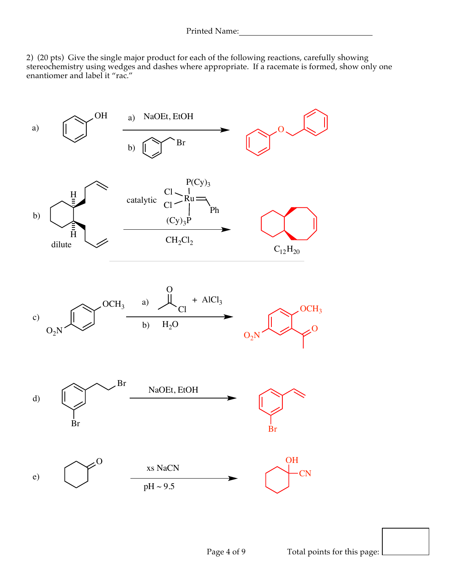2) (20 pts) Give the single major product for each of the following reactions, carefully showing stereochemistry using wedges and dashes where appropriate. If a racemate is formed, show only one enantiomer and label it "rac."

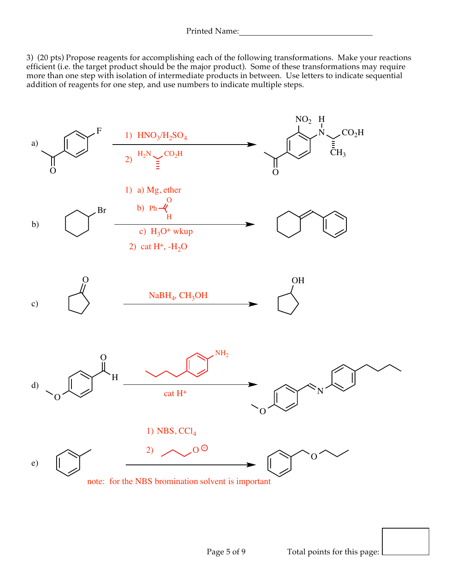3) (20 pts) Propose reagents for accomplishing each of the following transformations. Make your reactions efficient (i.e. the target product should be the major product). Some of these transformations may require more than one step with isolation of intermediate products in between. Use letters to indicate sequential addition of reagents for one step, and use numbers to indicate multiple steps.

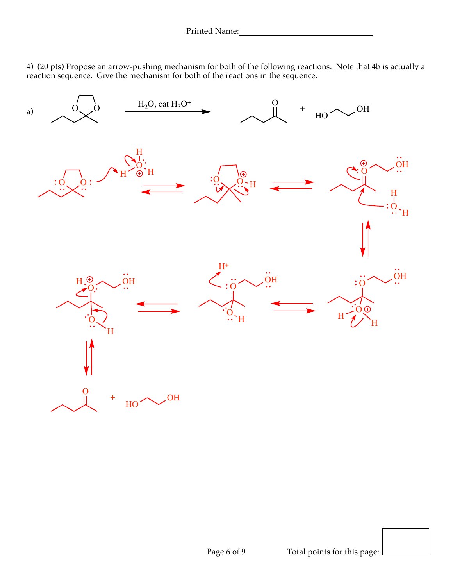4) (20 pts) Propose an arrow-pushing mechanism for both of the following reactions. Note that 4b is actually a reaction sequence. Give the mechanism for both of the reactions in the sequence.

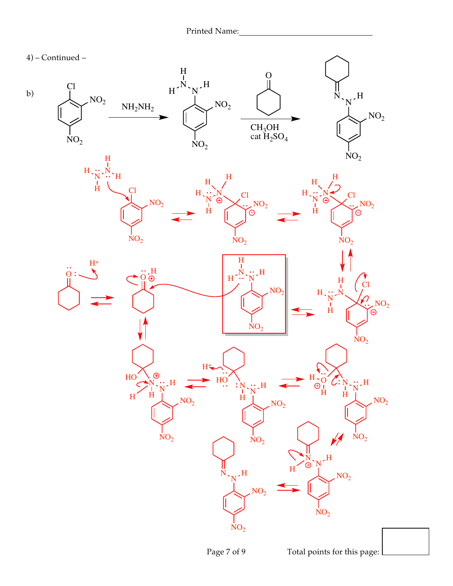

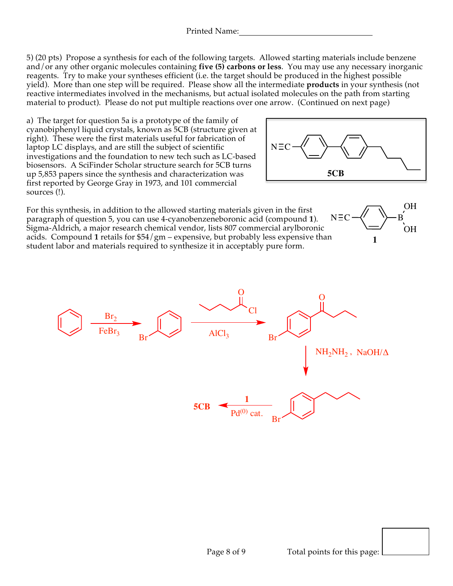5) (20 pts) Propose a synthesis for each of the following targets. Allowed starting materials include benzene and/or any other organic molecules containing **five (5) carbons or less**. You may use any necessary inorganic reagents. Try to make your syntheses efficient (i.e. the target should be produced in the highest possible yield). More than one step will be required. Please show all the intermediate **products** in your synthesis (not reactive intermediates involved in the mechanisms, but actual isolated molecules on the path from starting material to product). Please do not put multiple reactions over one arrow. (Continued on next page)

a) The target for question 5a is a prototype of the family of cyanobiphenyl liquid crystals, known as 5CB (structure given at right). These were the first materials useful for fabrication of laptop LC displays, and are still the subject of scientific investigations and the foundation to new tech such as LC-based biosensors. A SciFinder Scholar structure search for 5CB turns up 5,853 papers since the synthesis and characterization was first reported by George Gray in 1973, and 101 commercial sources (!).



For this synthesis, in addition to the allowed starting materials given in the first paragraph of question 5, you can use 4-cyanobenzeneboronic acid (compound **1**). Sigma-Aldrich, a major research chemical vendor, lists 807 commercial arylboronic acids. Compound **1** retails for \$54/gm – expensive, but probably less expensive than student labor and materials required to synthesize it in acceptably pure form.